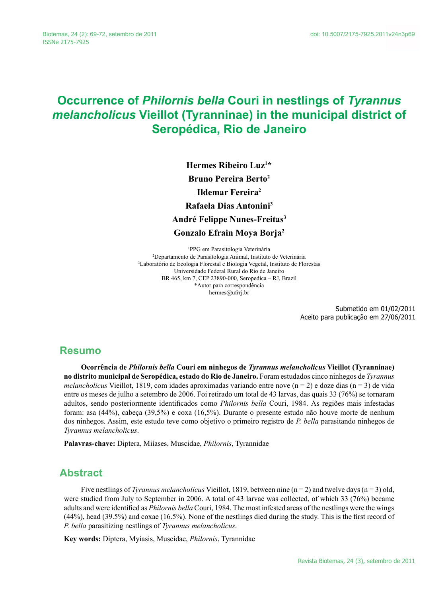# **Occurrence of** *Philornis bella* **Couri in nestlings of** *Tyrannus melancholicus* **Vieillot (Tyranninae) in the municipal district of Seropédica, Rio de Janeiro**

**Hermes Ribeiro Luz1 \* Bruno Pereira Berto2 Ildemar Fereira2 Rafaela Dias Antonini3 André Felippe Nunes-Freitas3 Gonzalo Efrain Moya Borja2**

1 PPG em Parasitologia Veterinária 2 Departamento de Parasitologia Animal, Instituto de Veterinária 3 Laboratório de Ecologia Florestal e Biologia Vegetal, Instituto de Florestas Universidade Federal Rural do Rio de Janeiro BR 465, km 7, CEP 23890-000, Seropedica – RJ, Brazil \*Autor para correspondência hermes@ufrrj.br

> Submetido em 01/02/2011 Aceito para publicação em 27/06/2011

#### **Resumo**

**Ocorrência de** *Philornis bella* **Couri em ninhegos de** *Tyrannus melancholicus* **Vieillot (Tyranninae) no distrito municipal de Seropédica, estado do Rio de Janeiro.** Foram estudados cinco ninhegos de *Tyrannus melancholicus* Vieillot, 1819, com idades aproximadas variando entre nove (n = 2) e doze dias (n = 3) de vida entre os meses de julho a setembro de 2006. Foi retirado um total de 43 larvas, das quais 33 (76%) se tornaram adultos, sendo posteriormente identificados como *Philornis bella* Couri, 1984. As regiões mais infestadas foram: asa (44%), cabeça (39,5%) e coxa (16,5%). Durante o presente estudo não houve morte de nenhum dos ninhegos. Assim, este estudo teve como objetivo o primeiro registro de *P. bella* parasitando ninhegos de *Tyrannus melancholicus*.

**Palavras-chave:** Diptera, Miíases, Muscidae, *Philornis*, Tyrannidae

#### **Abstract**

Five nestlings of *Tyrannus melancholicus* Vieillot, 1819, between nine (n = 2) and twelve days (n = 3) old, were studied from July to September in 2006. A total of 43 larvae was collected, of which 33 (76%) became adults and were identified as *Philornis bella* Couri, 1984. The most infested areas of the nestlings were the wings (44%), head (39.5%) and coxae (16.5%). None of the nestlings died during the study. This is the first record of *P. bella* parasitizing nestlings of *Tyrannus melancholicus*.

**Key words:** Diptera, Myiasis, Muscidae, *Philornis*, Tyrannidae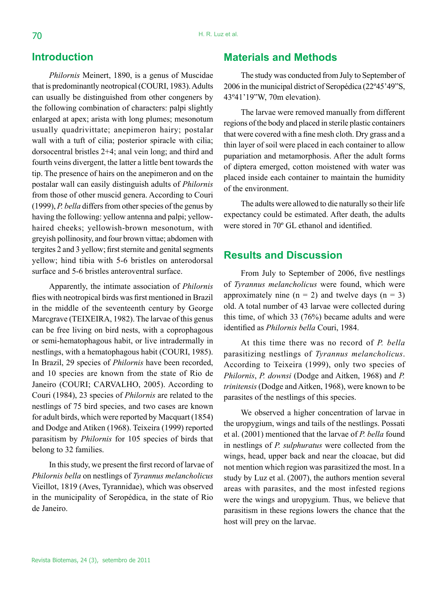## **Introduction**

*Philornis* Meinert, 1890, is a genus of Muscidae that is predominantly neotropical (COURI, 1983). Adults can usually be distinguished from other congeners by the following combination of characters: palpi slightly enlarged at apex; arista with long plumes; mesonotum usually quadrivittate; anepimeron hairy; postalar wall with a tuft of cilia; posterior spiracle with cilia; dorsocentral bristles 2+4; anal vein long; and third and fourth veins divergent, the latter a little bent towards the tip. The presence of hairs on the anepimeron and on the postalar wall can easily distinguish adults of *Philornis* from those of other muscid genera. According to Couri (1999), *P. bella* differs from other species of the genus by having the following: yellow antenna and palpi; yellowhaired cheeks; yellowish-brown mesonotum, with greyish pollinosity, and four brown vittae; abdomen with tergites 2 and 3 yellow; first sternite and genital segments yellow; hind tibia with 5-6 bristles on anterodorsal surface and 5-6 bristles anteroventral surface.

Apparently, the intimate association of *Philornis* flies with neotropical birds was first mentioned in Brazil in the middle of the seventeenth century by George Marcgrave (TEIXEIRA, 1982). The larvae of this genus can be free living on bird nests, with a coprophagous or semi-hematophagous habit, or live intradermally in nestlings, with a hematophagous habit (COURI, 1985). In Brazil, 29 species of *Philornis* have been recorded, and 10 species are known from the state of Rio de Janeiro (COURI; CARVALHO, 2005). According to Couri (1984), 23 species of *Philornis* are related to the nestlings of 75 bird species, and two cases are known for adult birds, which were reported by Macquart (1854) and Dodge and Atiken (1968). Teixeira (1999) reported parasitism by *Philornis* for 105 species of birds that belong to 32 families.

In this study, we present the first record of larvae of *Philornis bella* on nestlings of *Tyrannus melancholicus*  Vieillot, 1819 (Aves, Tyrannidae), which was observed in the municipality of Seropédica, in the state of Rio de Janeiro.

## **Materials and Methods**

The study was conducted from July to September of 2006 in the municipal district of Seropédica (22º45'49"S, 43º41'19"W, 70m elevation).

The larvae were removed manually from different regions of the body and placed in sterile plastic containers that were covered with a fine mesh cloth. Dry grass and a thin layer of soil were placed in each container to allow pupariation and metamorphosis. After the adult forms of diptera emerged, cotton moistened with water was placed inside each container to maintain the humidity of the environment.

The adults were allowed to die naturally so their life expectancy could be estimated. After death, the adults were stored in 70º GL ethanol and identified.

#### **Results and Discussion**

From July to September of 2006, five nestlings of *Tyrannus melancholicus* were found, which were approximately nine  $(n = 2)$  and twelve days  $(n = 3)$ old. A total number of 43 larvae were collected during this time, of which 33 (76%) became adults and were identified as *Philornis bella* Couri, 1984.

At this time there was no record of *P. bella* parasitizing nestlings of *Tyrannus melancholicus*. According to Teixeira (1999), only two species of *Philornis*, *P. downsi* (Dodge and Aitken, 1968) and *P. trinitensis* (Dodge and Aitken, 1968), were known to be parasites of the nestlings of this species.

We observed a higher concentration of larvae in the uropygium, wings and tails of the nestlings. Possati et al. (2001) mentioned that the larvae of *P. bella* found in nestlings of *P. sulphuratus* were collected from the wings, head, upper back and near the cloacae, but did not mention which region was parasitized the most. In a study by Luz et al. (2007), the authors mention several areas with parasites, and the most infested regions were the wings and uropygium. Thus, we believe that parasitism in these regions lowers the chance that the host will prey on the larvae.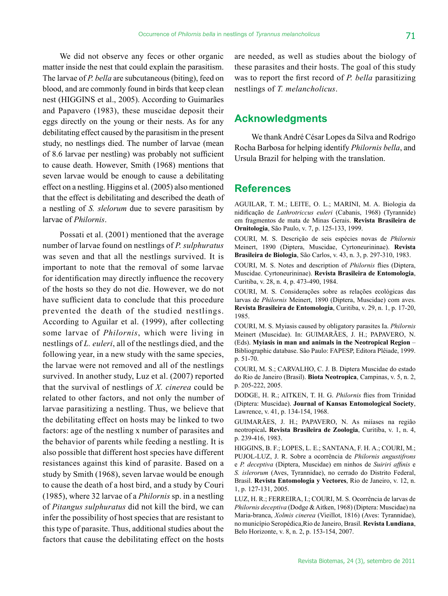We did not observe any feces or other organic matter inside the nest that could explain the parasitism. The larvae of *P. bella* are subcutaneous (biting), feed on blood, and are commonly found in birds that keep clean nest (HIGGINS et al., 2005). According to Guimarães and Papavero (1983), these muscidae deposit their eggs directly on the young or their nests. As for any debilitating effect caused by the parasitism in the present study, no nestlings died. The number of larvae (mean of 8.6 larvae per nestling) was probably not sufficient to cause death. However, Smith (1968) mentions that seven larvae would be enough to cause a debilitating effect on a nestling. Higgins et al. (2005) also mentioned that the effect is debilitating and described the death of a nestling of *S. slelorum* due to severe parasitism by larvae of *Philornis*.

Possati et al. (2001) mentioned that the average number of larvae found on nestlings of *P. sulphuratus* was seven and that all the nestlings survived. It is important to note that the removal of some larvae for identification may directly influence the recovery of the hosts so they do not die. However, we do not have sufficient data to conclude that this procedure prevented the death of the studied nestlings. According to Aguilar et al. (1999), after collecting some larvae of *Philornis*, which were living in nestlings of *L. euleri*, all of the nestlings died, and the following year, in a new study with the same species, the larvae were not removed and all of the nestlings survived. In another study, Luz et al. (2007) reported that the survival of nestlings of *X. cinerea* could be related to other factors, and not only the number of larvae parasitizing a nestling. Thus, we believe that the debilitating effect on hosts may be linked to two factors: age of the nestling x number of parasites and the behavior of parents while feeding a nestling. It is also possible that different host species have different resistances against this kind of parasite. Based on a study by Smith (1968), seven larvae would be enough to cause the death of a host bird, and a study by Couri (1985), where 32 larvae of a *Philornis* sp. in a nestling of *Pitangus sulphuratus* did not kill the bird, we can infer the possibility of host species that are resistant to this type of parasite. Thus, additional studies about the factors that cause the debilitating effect on the hosts

are needed, as well as studies about the biology of these parasites and their hosts. The goal of this study was to report the first record of *P. bella* parasitizing nestlings of *T. melancholicus*.

## **Acknowledgments**

We thank André César Lopes da Silva and Rodrigo Rocha Barbosa for helping identify *Philornis bella*, and Ursula Brazil for helping with the translation.

#### **References**

AGUILAR, T. M.; LEITE, O. L.; MARINI, M. A. Biologia da nidificação de *Lathrotriccus euleri* (Cabanis, 1968) (Tyrannide) em fragmentos de mata de Minas Gerais. **Revista Brasileira de Ornitologia**, São Paulo, v. 7, p. 125-133, 1999.

COURI, M. S. Descrição de seis espécies novas de *Philornis* Meinert, 1890 (Diptera, Muscidae, Cyrtoneurininae). **Revista Brasileira de Biologia**, São Carlos, v. 43, n. 3, p. 297-310, 1983.

COURI, M. S. Notes and description of *Philornis* flies (Diptera, Muscidae. Cyrtoneurininae). **Revista Brasileira de Entomologia**, Curitiba, v. 28, n. 4, p. 473-490, 1984.

COURI, M. S. Considerações sobre as relações ecológicas das larvas de *Philornis* Meinert, 1890 (Diptera, Muscidae) com aves. **Revista Brasileira de Entomologia**, Curitiba, v. 29, n. 1, p. 17-20, 1985.

COURI, M. S. Myiasis caused by obligatory parasites Ia. *Philornis* Meinert (Muscidae). In: GUIMARÃES, J. H.; PAPAVERO, N. (Eds). **Myiasis in man and animals in the Neotropical Region** – Bibliographic database. São Paulo: FAPESP, Editora Plêiade, 1999. p. 51-70.

COURI, M. S.; CARVALHO, C. J. B. Diptera Muscidae do estado do Rio de Janeiro (Brasil). **Biota Neotropica**, Campinas, v. 5, n. 2, p. 205-222, 2005.

DODGE, H. R.; AITKEN, T. H. G. *Philornis* flies from Trinidad (Diptera: Muscidae). **Journal of Kansas Entomological Society**, Lawrence, v. 41, p. 134-154, 1968.

GUIMARÃES, J. H.; PAPAVERO, N. As miíases na região neotropical**. Revista Brasileira de Zoologia**, Curitiba, v. 1, n. 4, p. 239-416, 1983.

HIGGINS, B. F.; LOPES, L. E.; SANTANA, F. H. A.; COURI, M.; PUJOL-LUZ, J. R. Sobre a ocorrência de *Philornis angustifrons* e *P. deceptiva* (Diptera, Muscidae) em ninhos de *Suiriri affinis* e *S. islerorum* (Aves, Tyrannidae), no cerrado do Distrito Federal, Brasil. **Revista Entomologia y Vectores**, Rio de Janeiro, v. 12, n. 1, p. 127-131, 2005.

LUZ, H. R.; FERREIRA, I.; COURI, M. S. Ocorrência de larvas de *Philornis deceptiva* (Dodge & Aitken, 1968) (Diptera: Muscidae) na Maria-branca, *Xolmis cinerea* (Vieillot, 1816) (Aves: Tyrannidae), no município Seropédica,Rio de Janeiro, Brasil. **Revista Lundiana**, Belo Horizonte, v. 8, n. 2, p. 153-154, 2007.